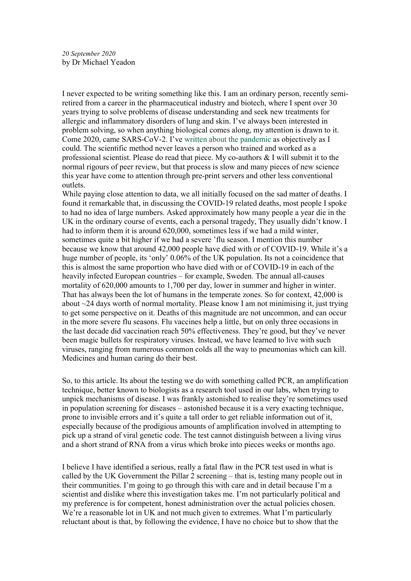I never expected to be writing something like this. I am an ordinary person, recently semiretired from a career in the pharmaceutical industry and biotech, where I spent over 30 years trying to solve problems of disease understanding and seek new treatments for allergic and inflammatory disorders of lung and skin. I've always been interested in problem solving, so when anything biological comes along, my attention is drawn to it. Come 2020, came SARS-CoV-2. I've written about the pandemic as objectively as I could. The scientific method never leaves a person who trained and worked as a professional scientist. Please do read that piece. My co-authors & I will submit it to the normal rigours of peer review, but that process is slow and many pieces of new science this year have come to attention through pre-print servers and other less conventional outlets.

While paying close attention to data, we all initially focused on the sad matter of deaths. I found it remarkable that, in discussing the COVID-19 related deaths, most people I spoke to had no idea of large numbers. Asked approximately how many people a year die in the UK in the ordinary course of events, each a personal tragedy, They usually didn't know. I had to inform them it is around 620,000, sometimes less if we had a mild winter, sometimes quite a bit higher if we had a severe 'flu season. I mention this number because we know that around 42,000 people have died with or of COVID-19. While it's a huge number of people, its 'only' 0.06% of the UK population. Its not a coincidence that this is almost the same proportion who have died with or of COVID-19 in each of the heavily infected European countries – for example, Sweden. The annual all-causes mortality of 620,000 amounts to 1,700 per day, lower in summer and higher in winter. That has always been the lot of humans in the temperate zones. So for context, 42,000 is about ~24 days worth of normal mortality. Please know I am not minimising it, just trying to get some perspective on it. Deaths of this magnitude are not uncommon, and can occur in the more severe flu seasons. Flu vaccines help a little, but on only three occasions in the last decade did vaccination reach 50% effectiveness. They're good, but they've never been magic bullets for respiratory viruses. Instead, we have learned to live with such viruses, ranging from numerous common colds all the way to pneumonias which can kill. Medicines and human caring do their best.

So, to this article. Its about the testing we do with something called PCR, an amplification technique, better known to biologists as a research tool used in our labs, when trying to unpick mechanisms of disease. I was frankly astonished to realise they're sometimes used in population screening for diseases – astonished because it is a very exacting technique, prone to invisible errors and it's quite a tall order to get reliable information out of it, especially because of the prodigious amounts of amplification involved in attempting to pick up a strand of viral genetic code. The test cannot distinguish between a living virus and a short strand of RNA from a virus which broke into pieces weeks or months ago.

I believe I have identified a serious, really a fatal flaw in the PCR test used in what is called by the UK Government the Pillar 2 screening – that is, testing many people out in their communities. I'm going to go through this with care and in detail because I'm a scientist and dislike where this investigation takes me. I'm not particularly political and my preference is for competent, honest administration over the actual policies chosen. We're a reasonable lot in UK and not much given to extremes. What I'm particularly reluctant about is that, by following the evidence, I have no choice but to show that the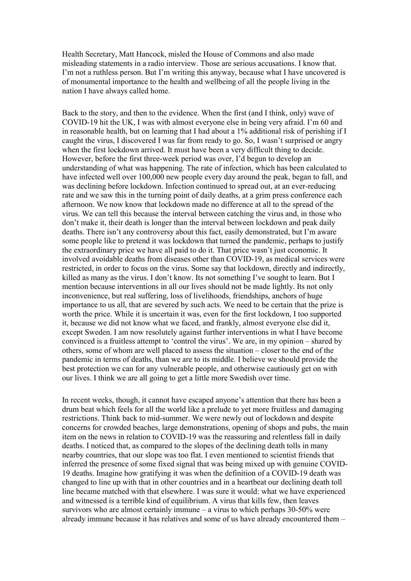Health Secretary, Matt Hancock, misled the House of Commons and also made misleading statements in a radio interview. Those are serious accusations. I know that. I'm not a ruthless person. But I'm writing this anyway, because what I have uncovered is of monumental importance to the health and wellbeing of all the people living in the nation I have always called home.

Back to the story, and then to the evidence. When the first (and I think, only) wave of COVID-19 hit the UK, I was with almost everyone else in being very afraid. I'm 60 and in reasonable health, but on learning that I had about a 1% additional risk of perishing if I caught the virus, I discovered I was far from ready to go. So, I wasn't surprised or angry when the first lockdown arrived. It must have been a very difficult thing to decide. However, before the first three-week period was over, I'd begun to develop an understanding of what was happening. The rate of infection, which has been calculated to have infected well over 100,000 new people every day around the peak, began to fall, and was declining before lockdown. Infection continued to spread out, at an ever-reducing rate and we saw this in the turning point of daily deaths, at a grim press conference each afternoon. We now know that lockdown made no difference at all to the spread of the virus. We can tell this because the interval between catching the virus and, in those who don't make it, their death is longer than the interval between lockdown and peak daily deaths. There isn't any controversy about this fact, easily demonstrated, but I'm aware some people like to pretend it was lockdown that turned the pandemic, perhaps to justify the extraordinary price we have all paid to do it. That price wasn't just economic. It involved avoidable deaths from diseases other than COVID-19, as medical services were restricted, in order to focus on the virus. Some say that lockdown, directly and indirectly, killed as many as the virus. I don't know. Its not something I've sought to learn. But I mention because interventions in all our lives should not be made lightly. Its not only inconvenience, but real suffering, loss of livelihoods, friendships, anchors of huge importance to us all, that are severed by such acts. We need to be certain that the prize is worth the price. While it is uncertain it was, even for the first lockdown, I too supported it, because we did not know what we faced, and frankly, almost everyone else did it, except Sweden. I am now resolutely against further interventions in what I have become convinced is a fruitless attempt to 'control the virus'. We are, in my opinion – shared by others, some of whom are well placed to assess the situation – closer to the end of the pandemic in terms of deaths, than we are to its middle. I believe we should provide the best protection we can for any vulnerable people, and otherwise cautiously get on with our lives. I think we are all going to get a little more Swedish over time.

In recent weeks, though, it cannot have escaped anyone's attention that there has been a drum beat which feels for all the world like a prelude to yet more fruitless and damaging restrictions. Think back to mid-summer. We were newly out of lockdown and despite concerns for crowded beaches, large demonstrations, opening of shops and pubs, the main item on the news in relation to COVID-19 was the reassuring and relentless fall in daily deaths. I noticed that, as compared to the slopes of the declining death tolls in many nearby countries, that our slope was too flat. I even mentioned to scientist friends that inferred the presence of some fixed signal that was being mixed up with genuine COVID-19 deaths. Imagine how gratifying it was when the definition of a COVID-19 death was changed to line up with that in other countries and in a heartbeat our declining death toll line became matched with that elsewhere. I was sure it would: what we have experienced and witnessed is a terrible kind of equilibrium. A virus that kills few, then leaves survivors who are almost certainly immune – a virus to which perhaps  $30-50\%$  were already immune because it has relatives and some of us have already encountered them –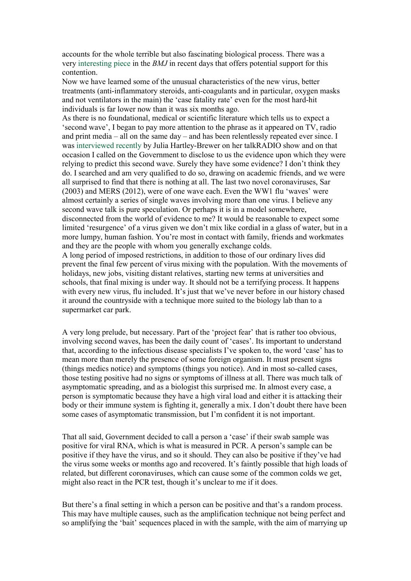accounts for the whole terrible but also fascinating biological process. There was a very interesting piece in the BMJ in recent days that offers potential support for this contention.

Now we have learned some of the unusual characteristics of the new virus, better treatments (anti-inflammatory steroids, anti-coagulants and in particular, oxygen masks and not ventilators in the main) the 'case fatality rate' even for the most hard-hit individuals is far lower now than it was six months ago.

As there is no foundational, medical or scientific literature which tells us to expect a 'second wave', I began to pay more attention to the phrase as it appeared on TV, radio and print media – all on the same day – and has been relentlessly repeated ever since. I was interviewed recently by Julia Hartley-Brewer on her talkRADIO show and on that occasion I called on the Government to disclose to us the evidence upon which they were relying to predict this second wave. Surely they have some evidence? I don't think they do. I searched and am very qualified to do so, drawing on academic friends, and we were all surprised to find that there is nothing at all. The last two novel coronaviruses, Sar (2003) and MERS (2012), were of one wave each. Even the WW1 flu 'waves' were almost certainly a series of single waves involving more than one virus. I believe any second wave talk is pure speculation. Or perhaps it is in a model somewhere, disconnected from the world of evidence to me? It would be reasonable to expect some limited 'resurgence' of a virus given we don't mix like cordial in a glass of water, but in a more lumpy, human fashion. You're most in contact with family, friends and workmates and they are the people with whom you generally exchange colds.

A long period of imposed restrictions, in addition to those of our ordinary lives did prevent the final few percent of virus mixing with the population. With the movements of holidays, new jobs, visiting distant relatives, starting new terms at universities and schools, that final mixing is under way. It should not be a terrifying process. It happens with every new virus, flu included. It's just that we've never before in our history chased it around the countryside with a technique more suited to the biology lab than to a supermarket car park.

A very long prelude, but necessary. Part of the 'project fear' that is rather too obvious, involving second waves, has been the daily count of 'cases'. Its important to understand that, according to the infectious disease specialists I've spoken to, the word 'case' has to mean more than merely the presence of some foreign organism. It must present signs (things medics notice) and symptoms (things you notice). And in most so-called cases, those testing positive had no signs or symptoms of illness at all. There was much talk of asymptomatic spreading, and as a biologist this surprised me. In almost every case, a person is symptomatic because they have a high viral load and either it is attacking their body or their immune system is fighting it, generally a mix. I don't doubt there have been some cases of asymptomatic transmission, but I'm confident it is not important.

That all said, Government decided to call a person a 'case' if their swab sample was positive for viral RNA, which is what is measured in PCR. A person's sample can be positive if they have the virus, and so it should. They can also be positive if they've had the virus some weeks or months ago and recovered. It's faintly possible that high loads of related, but different coronaviruses, which can cause some of the common colds we get, might also react in the PCR test, though it's unclear to me if it does.

But there's a final setting in which a person can be positive and that's a random process. This may have multiple causes, such as the amplification technique not being perfect and so amplifying the 'bait' sequences placed in with the sample, with the aim of marrying up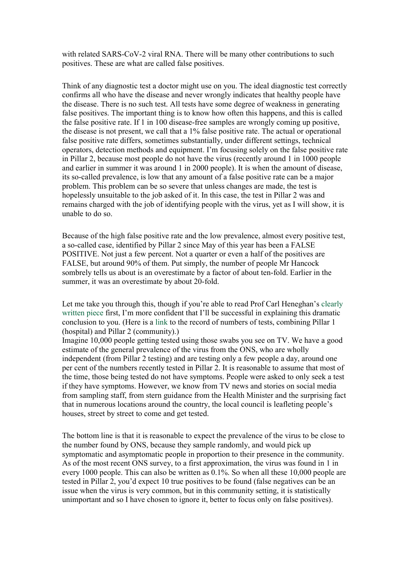with related SARS-CoV-2 viral RNA. There will be many other contributions to such positives. These are what are called false positives.

Think of any diagnostic test a doctor might use on you. The ideal diagnostic test correctly confirms all who have the disease and never wrongly indicates that healthy people have the disease. There is no such test. All tests have some degree of weakness in generating false positives. The important thing is to know how often this happens, and this is called the false positive rate. If 1 in 100 disease-free samples are wrongly coming up positive, the disease is not present, we call that a 1% false positive rate. The actual or operational false positive rate differs, sometimes substantially, under different settings, technical operators, detection methods and equipment. I'm focusing solely on the false positive rate in Pillar 2, because most people do not have the virus (recently around 1 in 1000 people and earlier in summer it was around 1 in 2000 people). It is when the amount of disease, its so-called prevalence, is low that any amount of a false positive rate can be a major problem. This problem can be so severe that unless changes are made, the test is hopelessly unsuitable to the job asked of it. In this case, the test in Pillar 2 was and remains charged with the job of identifying people with the virus, yet as I will show, it is unable to do so.

Because of the high false positive rate and the low prevalence, almost every positive test, a so-called case, identified by Pillar 2 since May of this year has been a FALSE POSITIVE. Not just a few percent. Not a quarter or even a half of the positives are FALSE, but around 90% of them. Put simply, the number of people Mr Hancock sombrely tells us about is an overestimate by a factor of about ten-fold. Earlier in the summer, it was an overestimate by about 20-fold.

Let me take you through this, though if you're able to read Prof Carl Heneghan's clearly written piece first, I'm more confident that I'll be successful in explaining this dramatic conclusion to you. (Here is a link to the record of numbers of tests, combining Pillar 1 (hospital) and Pillar 2 (community).)

Imagine 10,000 people getting tested using those swabs you see on TV. We have a good estimate of the general prevalence of the virus from the ONS, who are wholly independent (from Pillar 2 testing) and are testing only a few people a day, around one per cent of the numbers recently tested in Pillar 2. It is reasonable to assume that most of the time, those being tested do not have symptoms. People were asked to only seek a test if they have symptoms. However, we know from TV news and stories on social media from sampling staff, from stern guidance from the Health Minister and the surprising fact that in numerous locations around the country, the local council is leafleting people's houses, street by street to come and get tested.

The bottom line is that it is reasonable to expect the prevalence of the virus to be close to the number found by ONS, because they sample randomly, and would pick up symptomatic and asymptomatic people in proportion to their presence in the community. As of the most recent ONS survey, to a first approximation, the virus was found in 1 in every 1000 people. This can also be written as 0.1%. So when all these 10,000 people are tested in Pillar 2, you'd expect 10 true positives to be found (false negatives can be an issue when the virus is very common, but in this community setting, it is statistically unimportant and so I have chosen to ignore it, better to focus only on false positives).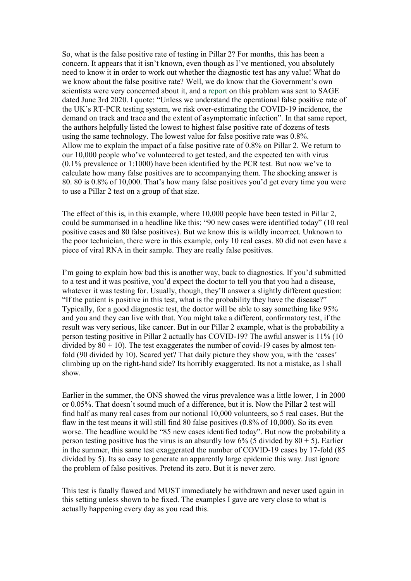So, what is the false positive rate of testing in Pillar 2? For months, this has been a concern. It appears that it isn't known, even though as I've mentioned, you absolutely need to know it in order to work out whether the diagnostic test has any value! What do we know about the false positive rate? Well, we do know that the Government's own scientists were very concerned about it, and a report on this problem was sent to SAGE dated June 3rd 2020. I quote: "Unless we understand the operational false positive rate of the UK's RT-PCR testing system, we risk over-estimating the COVID-19 incidence, the demand on track and trace and the extent of asymptomatic infection". In that same report, the authors helpfully listed the lowest to highest false positive rate of dozens of tests using the same technology. The lowest value for false positive rate was 0.8%. Allow me to explain the impact of a false positive rate of 0.8% on Pillar 2. We return to our 10,000 people who've volunteered to get tested, and the expected ten with virus (0.1% prevalence or 1:1000) have been identified by the PCR test. But now we've to calculate how many false positives are to accompanying them. The shocking answer is 80. 80 is 0.8% of 10,000. That's how many false positives you'd get every time you were to use a Pillar 2 test on a group of that size.

The effect of this is, in this example, where 10,000 people have been tested in Pillar 2, could be summarised in a headline like this: "90 new cases were identified today" (10 real positive cases and 80 false positives). But we know this is wildly incorrect. Unknown to the poor technician, there were in this example, only 10 real cases. 80 did not even have a piece of viral RNA in their sample. They are really false positives.

I'm going to explain how bad this is another way, back to diagnostics. If you'd submitted to a test and it was positive, you'd expect the doctor to tell you that you had a disease, whatever it was testing for. Usually, though, they'll answer a slightly different question: "If the patient is positive in this test, what is the probability they have the disease?" Typically, for a good diagnostic test, the doctor will be able to say something like 95% and you and they can live with that. You might take a different, confirmatory test, if the result was very serious, like cancer. But in our Pillar 2 example, what is the probability a person testing positive in Pillar 2 actually has COVID-19? The awful answer is 11% (10 divided by  $80 + 10$ ). The test exaggerates the number of covid-19 cases by almost tenfold (90 divided by 10). Scared yet? That daily picture they show you, with the 'cases' climbing up on the right-hand side? Its horribly exaggerated. Its not a mistake, as I shall show.

Earlier in the summer, the ONS showed the virus prevalence was a little lower, 1 in 2000 or 0.05%. That doesn't sound much of a difference, but it is. Now the Pillar 2 test will find half as many real cases from our notional 10,000 volunteers, so 5 real cases. But the flaw in the test means it will still find 80 false positives (0.8% of 10,000). So its even worse. The headline would be "85 new cases identified today". But now the probability a person testing positive has the virus is an absurdly low  $6\%$  (5 divided by  $80 + 5$ ). Earlier in the summer, this same test exaggerated the number of COVID-19 cases by 17-fold (85 divided by 5). Its so easy to generate an apparently large epidemic this way. Just ignore the problem of false positives. Pretend its zero. But it is never zero.

This test is fatally flawed and MUST immediately be withdrawn and never used again in this setting unless shown to be fixed. The examples I gave are very close to what is actually happening every day as you read this.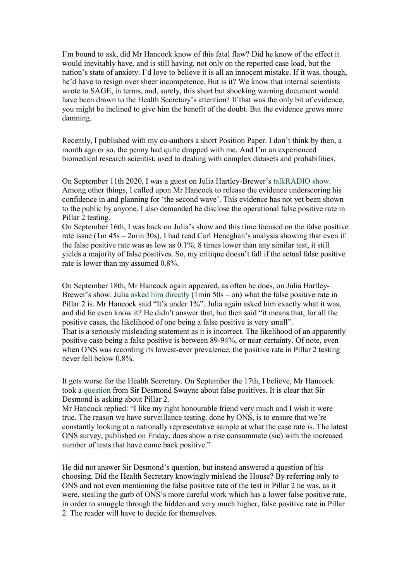I'm bound to ask, did Mr Hancock know of this fatal flaw? Did he know of the effect it would inevitably have, and is still having, not only on the reported case load, but the nation's state of anxiety. I'd love to believe it is all an innocent mistake. If it was, though, he'd have to resign over sheer incompetence. But is it? We know that internal scientists wrote to SAGE, in terms, and, surely, this short but shocking warning document would have been drawn to the Health Secretary's attention? If that was the only bit of evidence, you might be inclined to give him the benefit of the doubt. But the evidence grows more damning.

Recently, I published with my co-authors a short Position Paper. I don't think by then, a month ago or so, the penny had quite dropped with me. And I'm an experienced biomedical research scientist, used to dealing with complex datasets and probabilities.

On September 11th 2020, I was a guest on Julia Hartley-Brewer's talkRADIO show. Among other things, I called upon Mr Hancock to release the evidence underscoring his confidence in and planning for 'the second wave'. This evidence has not yet been shown to the public by anyone. I also demanded he disclose the operational false positive rate in Pillar 2 testing.

On September 16th, I was back on Julia's show and this time focused on the false positive rate issue (1m 45s – 2min 30s). I had read Carl Heneghan's analysis showing that even if the false positive rate was as low as 0.1%, 8 times lower than any similar test, it still yields a majority of false positives. So, my critique doesn't fall if the actual false positive rate is lower than my assumed 0.8%.

On September 18th, Mr Hancock again appeared, as often he does, on Julia Hartley-Brewer's show. Julia asked him directly  $(1\text{min } 50\text{s} - \text{on})$  what the false positive rate in Pillar 2 is. Mr Hancock said "It's under 1%". Julia again asked him exactly what it was, and did he even know it? He didn't answer that, but then said "it means that, for all the positive cases, the likelihood of one being a false positive is very small". That is a seriously misleading statement as it is incorrect. The likelihood of an apparently positive case being a false positive is between 89-94%, or near-certainty. Of note, even when ONS was recording its lowest-ever prevalence, the positive rate in Pillar 2 testing never fell below 0.8%.

It gets worse for the Health Secretary. On September the 17th, I believe, Mr Hancock took a question from Sir Desmond Swayne about false positives. It is clear that Sir Desmond is asking about Pillar 2.

Mr Hancock replied: "I like my right honourable friend very much and I wish it were true. The reason we have surveillance testing, done by ONS, is to ensure that we're constantly looking at a nationally representative sample at what the case rate is. The latest ONS survey, published on Friday, does show a rise consummate (sic) with the increased number of tests that have come back positive."

He did not answer Sir Desmond's question, but instead answered a question of his choosing. Did the Health Secretary knowingly mislead the House? By referring only to ONS and not even mentioning the false positive rate of the test in Pillar 2 he was, as it were, stealing the garb of ONS's more careful work which has a lower false positive rate, in order to smuggle through the hidden and very much higher, false positive rate in Pillar 2. The reader will have to decide for themselves.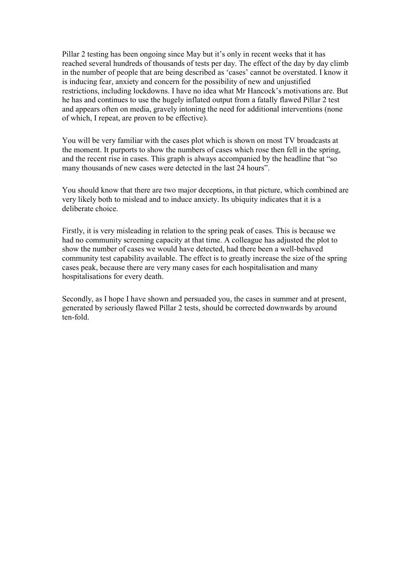Pillar 2 testing has been ongoing since May but it's only in recent weeks that it has reached several hundreds of thousands of tests per day. The effect of the day by day climb in the number of people that are being described as 'cases' cannot be overstated. I know it is inducing fear, anxiety and concern for the possibility of new and unjustified restrictions, including lockdowns. I have no idea what Mr Hancock's motivations are. But he has and continues to use the hugely inflated output from a fatally flawed Pillar 2 test and appears often on media, gravely intoning the need for additional interventions (none of which, I repeat, are proven to be effective).

You will be very familiar with the cases plot which is shown on most TV broadcasts at the moment. It purports to show the numbers of cases which rose then fell in the spring, and the recent rise in cases. This graph is always accompanied by the headline that "so many thousands of new cases were detected in the last 24 hours".

You should know that there are two major deceptions, in that picture, which combined are very likely both to mislead and to induce anxiety. Its ubiquity indicates that it is a deliberate choice.

Firstly, it is very misleading in relation to the spring peak of cases. This is because we had no community screening capacity at that time. A colleague has adjusted the plot to show the number of cases we would have detected, had there been a well-behaved community test capability available. The effect is to greatly increase the size of the spring cases peak, because there are very many cases for each hospitalisation and many hospitalisations for every death.

Secondly, as I hope I have shown and persuaded you, the cases in summer and at present, generated by seriously flawed Pillar 2 tests, should be corrected downwards by around ten-fold.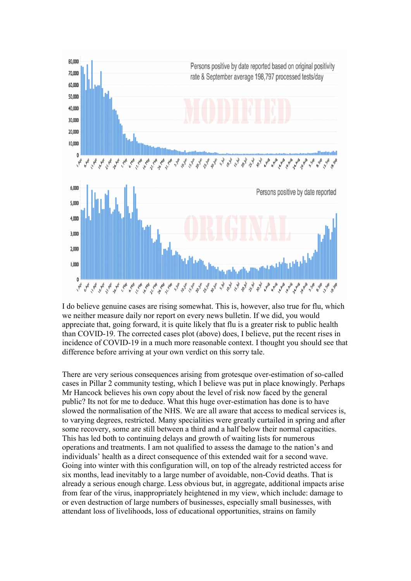

I do believe genuine cases are rising somewhat. This is, however, also true for flu, which we neither measure daily nor report on every news bulletin. If we did, you would appreciate that, going forward, it is quite likely that flu is a greater risk to public health than COVID-19. The corrected cases plot (above) does, I believe, put the recent rises in incidence of COVID-19 in a much more reasonable context. I thought you should see that difference before arriving at your own verdict on this sorry tale.

There are very serious consequences arising from grotesque over-estimation of so-called cases in Pillar 2 community testing, which I believe was put in place knowingly. Perhaps Mr Hancock believes his own copy about the level of risk now faced by the general public? Its not for me to deduce. What this huge over-estimation has done is to have slowed the normalisation of the NHS. We are all aware that access to medical services is, to varying degrees, restricted. Many specialities were greatly curtailed in spring and after some recovery, some are still between a third and a half below their normal capacities. This has led both to continuing delays and growth of waiting lists for numerous operations and treatments. I am not qualified to assess the damage to the nation's and individuals' health as a direct consequence of this extended wait for a second wave. Going into winter with this configuration will, on top of the already restricted access for six months, lead inevitably to a large number of avoidable, non-Covid deaths. That is already a serious enough charge. Less obvious but, in aggregate, additional impacts arise from fear of the virus, inappropriately heightened in my view, which include: damage to or even destruction of large numbers of businesses, especially small businesses, with attendant loss of livelihoods, loss of educational opportunities, strains on family